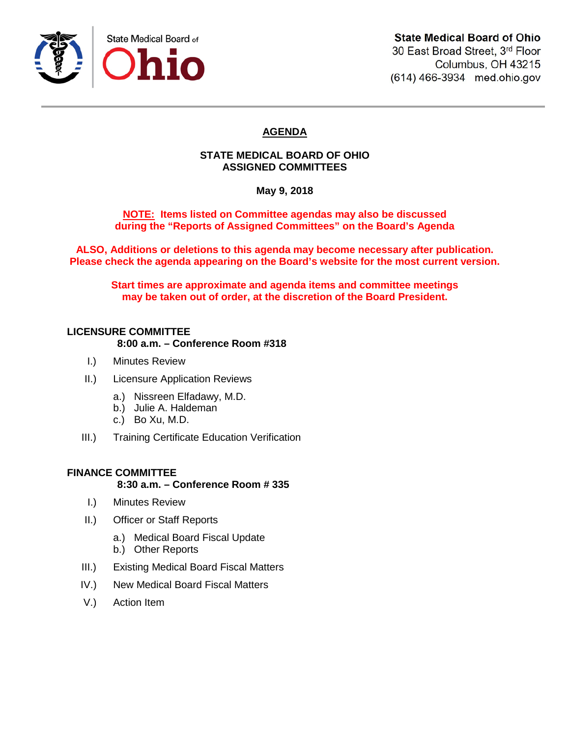

30 East Broad Street, 3rd Floor Columbus, OH 43215 (614) 466-3934 med.ohio.gov

# **AGENDA**

#### **STATE MEDICAL BOARD OF OHIO ASSIGNED COMMITTEES**

## **May 9, 2018**

### **NOTE: Items listed on Committee agendas may also be discussed during the "Reports of Assigned Committees" on the Board's Agenda**

**ALSO, Additions or deletions to this agenda may become necessary after publication. Please check the agenda appearing on the Board's website for the most current version.**

**Start times are approximate and agenda items and committee meetings may be taken out of order, at the discretion of the Board President.**

# **LICENSURE COMMITTEE**

#### **8:00 a.m. – Conference Room #318**

- I.) Minutes Review
- II.) Licensure Application Reviews
	- a.) Nissreen Elfadawy, M.D.
	- b.) Julie A. Haldeman
	- c.) Bo Xu, M.D.
- III.) Training Certificate Education Verification

# **FINANCE COMMITTEE**

#### **8:30 a.m. – Conference Room # 335**

- I.) Minutes Review
- II.) Officer or Staff Reports
	- a.) Medical Board Fiscal Update
	- b.) Other Reports
- III.) Existing Medical Board Fiscal Matters
- IV.) New Medical Board Fiscal Matters
- V.) Action Item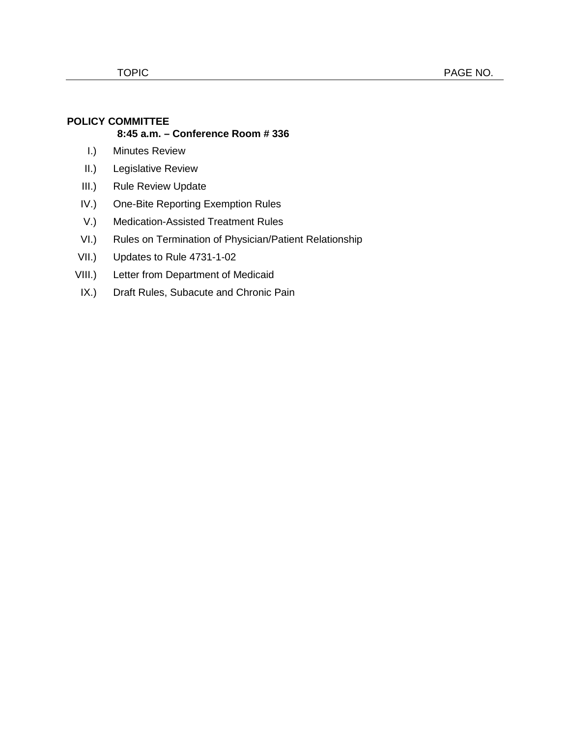## **POLICY COMMITTEE**

# **8:45 a.m. – Conference Room # 336**

- I.) Minutes Review
- II.) Legislative Review
- III.) Rule Review Update
- IV.) One-Bite Reporting Exemption Rules
- V.) Medication-Assisted Treatment Rules
- VI.) Rules on Termination of Physician/Patient Relationship
- VII.) Updates to Rule 4731-1-02
- VIII.) Letter from Department of Medicaid
- IX.) Draft Rules, Subacute and Chronic Pain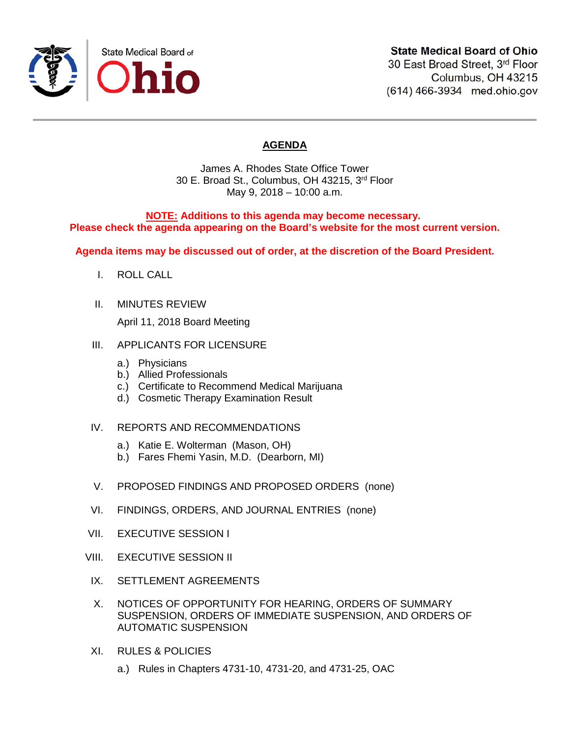

**State Medical Board of Ohio** 

30 East Broad Street, 3rd Floor Columbus, OH 43215 (614) 466-3934 med.ohio.gov

# **AGENDA**

James A. Rhodes State Office Tower 30 E. Broad St., Columbus, OH 43215, 3rd Floor May 9, 2018 – 10:00 a.m.

**NOTE: Additions to this agenda may become necessary. Please check the agenda appearing on the Board's website for the most current version.**

**Agenda items may be discussed out of order, at the discretion of the Board President.**

- I. ROLL CALL
- II. MINUTES REVIEW

April 11, 2018 Board Meeting

- III. APPLICANTS FOR LICENSURE
	- a.) Physicians
	- b.) Allied Professionals
	- c.) Certificate to Recommend Medical Marijuana
	- d.) Cosmetic Therapy Examination Result
- IV. REPORTS AND RECOMMENDATIONS
	- a.) Katie E. Wolterman (Mason, OH)
	- b.) Fares Fhemi Yasin, M.D. (Dearborn, MI)
- V. PROPOSED FINDINGS AND PROPOSED ORDERS (none)
- VI. FINDINGS, ORDERS, AND JOURNAL ENTRIES (none)
- VII. EXECUTIVE SESSION I
- VIII. EXECUTIVE SESSION II
- IX. SETTLEMENT AGREEMENTS
- X. NOTICES OF OPPORTUNITY FOR HEARING, ORDERS OF SUMMARY SUSPENSION, ORDERS OF IMMEDIATE SUSPENSION, AND ORDERS OF AUTOMATIC SUSPENSION
- XI. RULES & POLICIES
	- a.) Rules in Chapters 4731-10, 4731-20, and 4731-25, OAC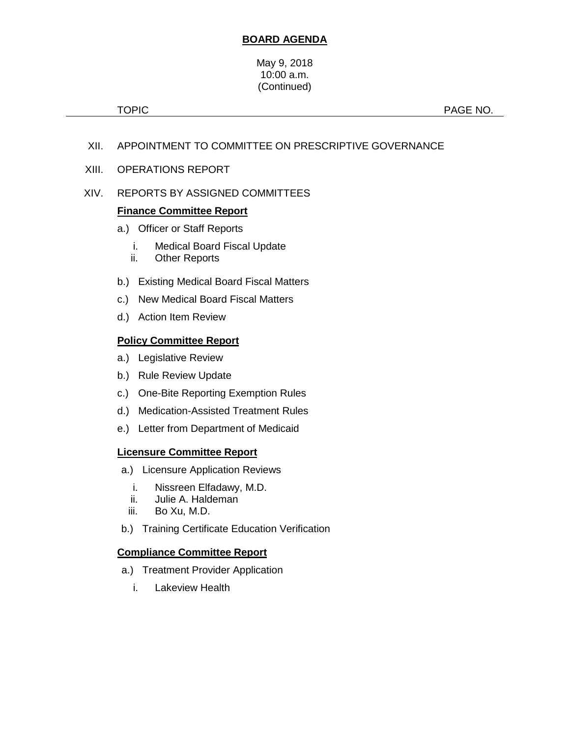## **BOARD AGENDA**

#### May 9, 2018 10:00 a.m. (Continued)

TOPIC **PAGE NO.** 

- XII. APPOINTMENT TO COMMITTEE ON PRESCRIPTIVE GOVERNANCE
- XIII. OPERATIONS REPORT

## XIV. REPORTS BY ASSIGNED COMMITTEES

## **Finance Committee Report**

- a.) Officer or Staff Reports
	- i. Medical Board Fiscal Update
	- ii. Other Reports
- b.) Existing Medical Board Fiscal Matters
- c.) New Medical Board Fiscal Matters
- d.) Action Item Review

### **Policy Committee Report**

- a.) Legislative Review
- b.) Rule Review Update
- c.) One-Bite Reporting Exemption Rules
- d.) Medication-Assisted Treatment Rules
- e.) Letter from Department of Medicaid

#### **Licensure Committee Report**

- a.) Licensure Application Reviews
	- i. Nissreen Elfadawy, M.D.
	- ii. Julie A. Haldeman
	- iii. Bo Xu, M.D.
- b.) Training Certificate Education Verification

## **Compliance Committee Report**

- a.) Treatment Provider Application
	- i. Lakeview Health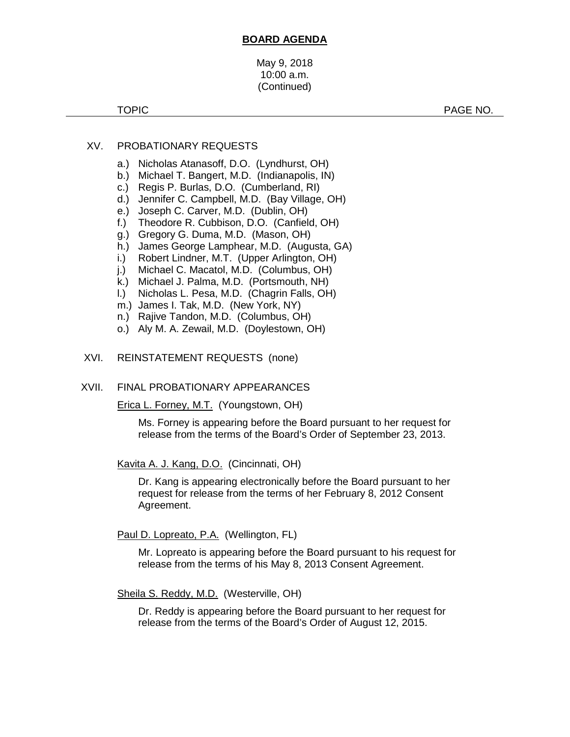## **BOARD AGENDA**

May 9, 2018 10:00 a.m. (Continued)

TOPIC **PAGE NO.** 

### XV. PROBATIONARY REQUESTS

- a.) Nicholas Atanasoff, D.O. (Lyndhurst, OH)
- b.) Michael T. Bangert, M.D. (Indianapolis, IN)
- c.) Regis P. Burlas, D.O. (Cumberland, RI)
- d.) Jennifer C. Campbell, M.D. (Bay Village, OH)
- e.) Joseph C. Carver, M.D. (Dublin, OH)
- f.) Theodore R. Cubbison, D.O. (Canfield, OH)
- g.) Gregory G. Duma, M.D. (Mason, OH)
- h.) James George Lamphear, M.D. (Augusta, GA)
- 
- i.) Robert Lindner, M.T. (Upper Arlington, OH)<br>j.) Michael C. Macatol, M.D. (Columbus, OH) Michael C. Macatol, M.D. (Columbus, OH)
- k.) Michael J. Palma, M.D. (Portsmouth, NH)
- l.) Nicholas L. Pesa, M.D. (Chagrin Falls, OH)
- m.) James I. Tak, M.D. (New York, NY)
- n.) Rajive Tandon, M.D. (Columbus, OH)
- o.) Aly M. A. Zewail, M.D. (Doylestown, OH)

### XVI. REINSTATEMENT REQUESTS (none)

#### XVII. FINAL PROBATIONARY APPEARANCES

Erica L. Forney, M.T. (Youngstown, OH)

Ms. Forney is appearing before the Board pursuant to her request for release from the terms of the Board's Order of September 23, 2013.

Kavita A. J. Kang, D.O. (Cincinnati, OH)

Dr. Kang is appearing electronically before the Board pursuant to her request for release from the terms of her February 8, 2012 Consent Agreement.

Paul D. Lopreato, P.A. (Wellington, FL)

Mr. Lopreato is appearing before the Board pursuant to his request for release from the terms of his May 8, 2013 Consent Agreement.

Sheila S. Reddy, M.D. (Westerville, OH)

Dr. Reddy is appearing before the Board pursuant to her request for release from the terms of the Board's Order of August 12, 2015.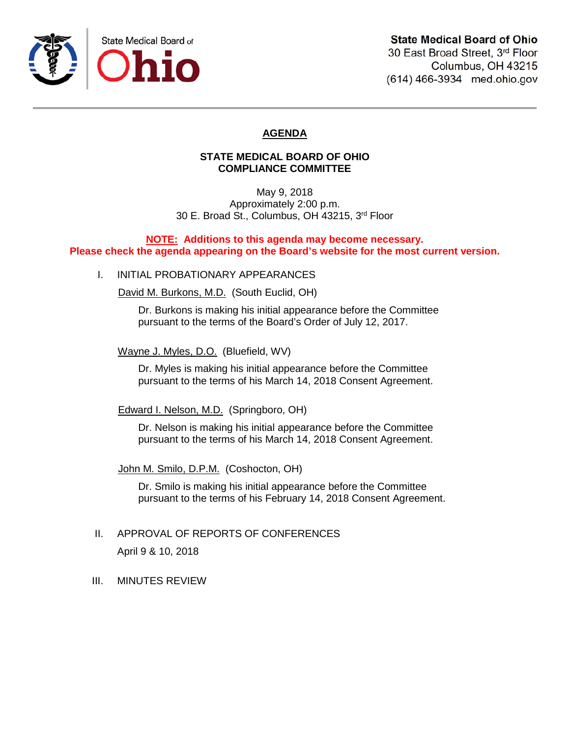

# **State Medical Board of Ohio**

30 East Broad Street, 3rd Floor Columbus, OH 43215 (614) 466-3934 med.ohio.gov

## **AGENDA**

#### **STATE MEDICAL BOARD OF OHIO COMPLIANCE COMMITTEE**

May 9, 2018 Approximately 2:00 p.m. 30 E. Broad St., Columbus, OH 43215, 3rd Floor

#### **NOTE: Additions to this agenda may become necessary. Please check the agenda appearing on the Board's website for the most current version.**

I. INITIAL PROBATIONARY APPEARANCES

David M. Burkons, M.D. (South Euclid, OH)

Dr. Burkons is making his initial appearance before the Committee pursuant to the terms of the Board's Order of July 12, 2017.

Wayne J. Myles, D.O. (Bluefield, WV)

Dr. Myles is making his initial appearance before the Committee pursuant to the terms of his March 14, 2018 Consent Agreement.

Edward I. Nelson, M.D. (Springboro, OH)

Dr. Nelson is making his initial appearance before the Committee pursuant to the terms of his March 14, 2018 Consent Agreement.

John M. Smilo, D.P.M. (Coshocton, OH)

Dr. Smilo is making his initial appearance before the Committee pursuant to the terms of his February 14, 2018 Consent Agreement.

- II. APPROVAL OF REPORTS OF CONFERENCES April 9 & 10, 2018
- III. MINUTES REVIEW